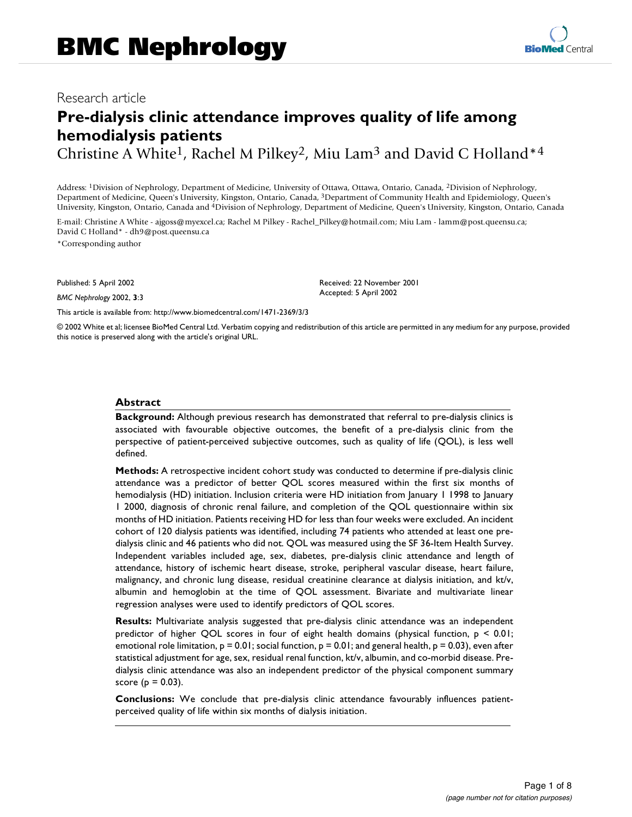# **Pre-dialysis clinic attendance improves quality of life among hemodialysis patients**

Christine A White<sup>1</sup>, Rachel M Pilkey<sup>2</sup>, Miu Lam<sup>3</sup> and David C Holland\*<sup>4</sup>

Address: 1Division of Nephrology, Department of Medicine, University of Ottawa, Ottawa, Ontario, Canada, 2Division of Nephrology, Department of Medicine, Queen's University, Kingston, Ontario, Canada, 3Department of Community Health and Epidemiology, Queen's University, Kingston, Ontario, Canada and 4Division of Nephrology, Department of Medicine, Queen's University, Kingston, Ontario, Canada

E-mail: Christine A White - ajgoss@myexcel.ca; Rachel M Pilkey - Rachel\_Pilkey@hotmail.com; Miu Lam - lamm@post.queensu.ca; David C Holland\* - dh9@post.queensu.ca

\*Corresponding author

Published: 5 April 2002

*BMC Nephrology* 2002, **3**:3

[This article is available from: http://www.biomedcentral.com/1471-2369/3/3](http://www.biomedcentral.com/1471-2369/3/3)

© 2002 White et al; licensee BioMed Central Ltd. Verbatim copying and redistribution of this article are permitted in any medium for any purpose, provided this notice is preserved along with the article's original URL.

Received: 22 November 2001 Accepted: 5 April 2002

#### **Abstract**

**Background:** Although previous research has demonstrated that referral to pre-dialysis clinics is associated with favourable objective outcomes, the benefit of a pre-dialysis clinic from the perspective of patient-perceived subjective outcomes, such as quality of life (QOL), is less well defined.

**Methods:** A retrospective incident cohort study was conducted to determine if pre-dialysis clinic attendance was a predictor of better QOL scores measured within the first six months of hemodialysis (HD) initiation. Inclusion criteria were HD initiation from January 1 1998 to January 1 2000, diagnosis of chronic renal failure, and completion of the QOL questionnaire within six months of HD initiation. Patients receiving HD for less than four weeks were excluded. An incident cohort of 120 dialysis patients was identified, including 74 patients who attended at least one predialysis clinic and 46 patients who did not. QOL was measured using the SF 36-Item Health Survey. Independent variables included age, sex, diabetes, pre-dialysis clinic attendance and length of attendance, history of ischemic heart disease, stroke, peripheral vascular disease, heart failure, malignancy, and chronic lung disease, residual creatinine clearance at dialysis initiation, and kt/v, albumin and hemoglobin at the time of QOL assessment. Bivariate and multivariate linear regression analyses were used to identify predictors of QOL scores.

**Results:** Multivariate analysis suggested that pre-dialysis clinic attendance was an independent predictor of higher QOL scores in four of eight health domains (physical function, p < 0.01; emotional role limitation,  $p = 0.01$ ; social function,  $p = 0.01$ ; and general health,  $p = 0.03$ ), even after statistical adjustment for age, sex, residual renal function, kt/v, albumin, and co-morbid disease. Predialysis clinic attendance was also an independent predictor of the physical component summary score ( $p = 0.03$ ).

**Conclusions:** We conclude that pre-dialysis clinic attendance favourably influences patientperceived quality of life within six months of dialysis initiation.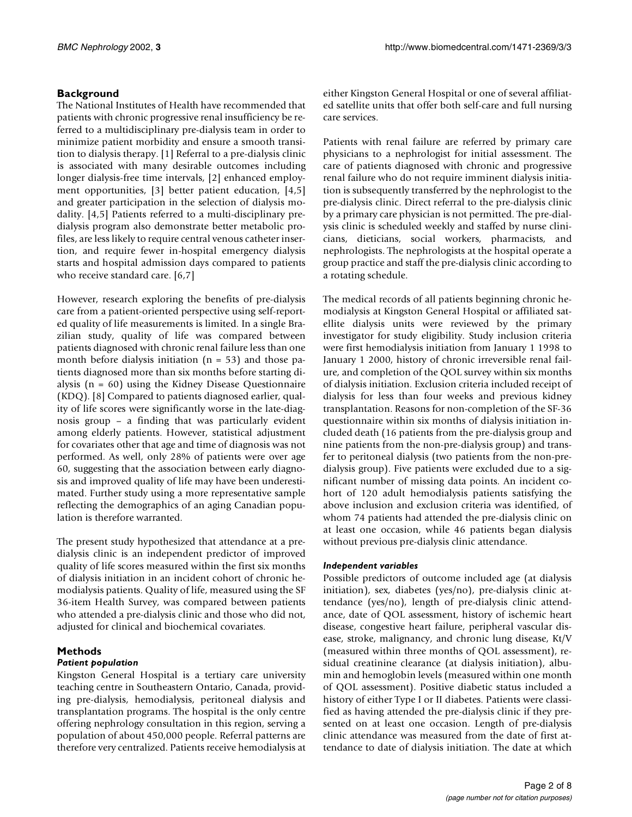## **Background**

The National Institutes of Health have recommended that patients with chronic progressive renal insufficiency be referred to a multidisciplinary pre-dialysis team in order to minimize patient morbidity and ensure a smooth transition to dialysis therapy. [1] Referral to a pre-dialysis clinic is associated with many desirable outcomes including longer dialysis-free time intervals, [2] enhanced employment opportunities, [3] better patient education, [4,5] and greater participation in the selection of dialysis modality. [4,5] Patients referred to a multi-disciplinary predialysis program also demonstrate better metabolic profiles, are less likely to require central venous catheter insertion, and require fewer in-hospital emergency dialysis starts and hospital admission days compared to patients who receive standard care. [6,7]

However, research exploring the benefits of pre-dialysis care from a patient-oriented perspective using self-reported quality of life measurements is limited. In a single Brazilian study, quality of life was compared between patients diagnosed with chronic renal failure less than one month before dialysis initiation  $(n = 53)$  and those patients diagnosed more than six months before starting dialysis (n = 60) using the Kidney Disease Questionnaire (KDQ). [8] Compared to patients diagnosed earlier, quality of life scores were significantly worse in the late-diagnosis group – a finding that was particularly evident among elderly patients. However, statistical adjustment for covariates other that age and time of diagnosis was not performed. As well, only 28% of patients were over age 60, suggesting that the association between early diagnosis and improved quality of life may have been underestimated. Further study using a more representative sample reflecting the demographics of an aging Canadian population is therefore warranted.

The present study hypothesized that attendance at a predialysis clinic is an independent predictor of improved quality of life scores measured within the first six months of dialysis initiation in an incident cohort of chronic hemodialysis patients. Quality of life, measured using the SF 36-item Health Survey, was compared between patients who attended a pre-dialysis clinic and those who did not, adjusted for clinical and biochemical covariates.

## **Methods**

## *Patient population*

Kingston General Hospital is a tertiary care university teaching centre in Southeastern Ontario, Canada, providing pre-dialysis, hemodialysis, peritoneal dialysis and transplantation programs. The hospital is the only centre offering nephrology consultation in this region, serving a population of about 450,000 people. Referral patterns are therefore very centralized. Patients receive hemodialysis at

either Kingston General Hospital or one of several affiliated satellite units that offer both self-care and full nursing care services.

Patients with renal failure are referred by primary care physicians to a nephrologist for initial assessment. The care of patients diagnosed with chronic and progressive renal failure who do not require imminent dialysis initiation is subsequently transferred by the nephrologist to the pre-dialysis clinic. Direct referral to the pre-dialysis clinic by a primary care physician is not permitted. The pre-dialysis clinic is scheduled weekly and staffed by nurse clinicians, dieticians, social workers, pharmacists, and nephrologists. The nephrologists at the hospital operate a group practice and staff the pre-dialysis clinic according to a rotating schedule.

The medical records of all patients beginning chronic hemodialysis at Kingston General Hospital or affiliated satellite dialysis units were reviewed by the primary investigator for study eligibility. Study inclusion criteria were first hemodialysis initiation from January 1 1998 to January 1 2000, history of chronic irreversible renal failure, and completion of the QOL survey within six months of dialysis initiation. Exclusion criteria included receipt of dialysis for less than four weeks and previous kidney transplantation. Reasons for non-completion of the SF-36 questionnaire within six months of dialysis initiation included death (16 patients from the pre-dialysis group and nine patients from the non-pre-dialysis group) and transfer to peritoneal dialysis (two patients from the non-predialysis group). Five patients were excluded due to a significant number of missing data points. An incident cohort of 120 adult hemodialysis patients satisfying the above inclusion and exclusion criteria was identified, of whom 74 patients had attended the pre-dialysis clinic on at least one occasion, while 46 patients began dialysis without previous pre-dialysis clinic attendance.

#### *Independent variables*

Possible predictors of outcome included age (at dialysis initiation), sex, diabetes (yes/no), pre-dialysis clinic attendance (yes/no), length of pre-dialysis clinic attendance, date of QOL assessment, history of ischemic heart disease, congestive heart failure, peripheral vascular disease, stroke, malignancy, and chronic lung disease, Kt/V (measured within three months of QOL assessment), residual creatinine clearance (at dialysis initiation), albumin and hemoglobin levels (measured within one month of QOL assessment). Positive diabetic status included a history of either Type I or II diabetes. Patients were classified as having attended the pre-dialysis clinic if they presented on at least one occasion. Length of pre-dialysis clinic attendance was measured from the date of first attendance to date of dialysis initiation. The date at which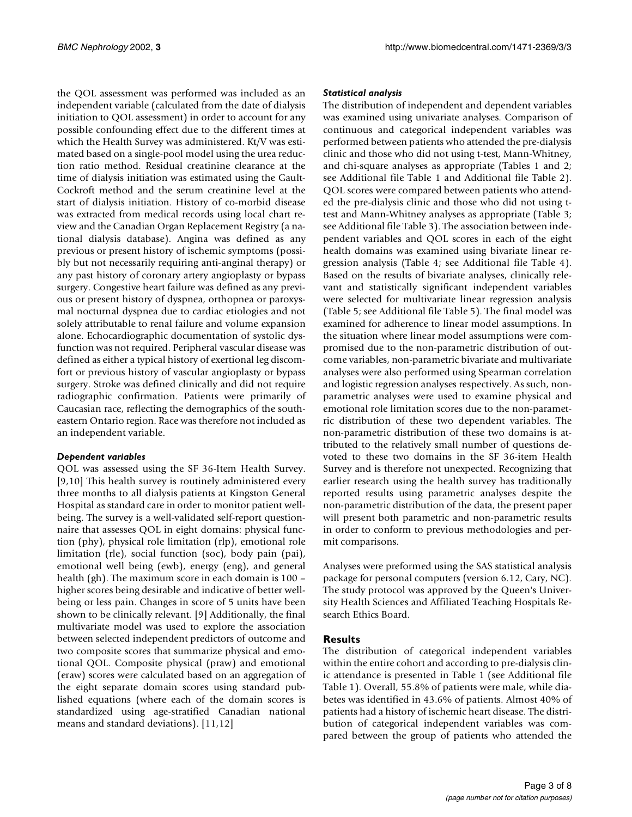the QOL assessment was performed was included as an independent variable (calculated from the date of dialysis initiation to QOL assessment) in order to account for any possible confounding effect due to the different times at which the Health Survey was administered. Kt/V was estimated based on a single-pool model using the urea reduction ratio method. Residual creatinine clearance at the time of dialysis initiation was estimated using the Gault-Cockroft method and the serum creatinine level at the start of dialysis initiation. History of co-morbid disease was extracted from medical records using local chart review and the Canadian Organ Replacement Registry (a national dialysis database). Angina was defined as any previous or present history of ischemic symptoms (possibly but not necessarily requiring anti-anginal therapy) or any past history of coronary artery angioplasty or bypass surgery. Congestive heart failure was defined as any previous or present history of dyspnea, orthopnea or paroxysmal nocturnal dyspnea due to cardiac etiologies and not solely attributable to renal failure and volume expansion alone. Echocardiographic documentation of systolic dysfunction was not required. Peripheral vascular disease was defined as either a typical history of exertional leg discomfort or previous history of vascular angioplasty or bypass surgery. Stroke was defined clinically and did not require radiographic confirmation. Patients were primarily of Caucasian race, reflecting the demographics of the southeastern Ontario region. Race was therefore not included as an independent variable.

#### *Dependent variables*

QOL was assessed using the SF 36-Item Health Survey. [9,10] This health survey is routinely administered every three months to all dialysis patients at Kingston General Hospital as standard care in order to monitor patient wellbeing. The survey is a well-validated self-report questionnaire that assesses QOL in eight domains: physical function (phy), physical role limitation (rlp), emotional role limitation (rle), social function (soc), body pain (pai), emotional well being (ewb), energy (eng), and general health (gh). The maximum score in each domain is 100 – higher scores being desirable and indicative of better wellbeing or less pain. Changes in score of 5 units have been shown to be clinically relevant. [9] Additionally, the final multivariate model was used to explore the association between selected independent predictors of outcome and two composite scores that summarize physical and emotional QOL. Composite physical (praw) and emotional (eraw) scores were calculated based on an aggregation of the eight separate domain scores using standard published equations (where each of the domain scores is standardized using age-stratified Canadian national means and standard deviations). [11,12]

#### *Statistical analysis*

The distribution of independent and dependent variables was examined using univariate analyses. Comparison of continuous and categorical independent variables was performed between patients who attended the pre-dialysis clinic and those who did not using t-test, Mann-Whitney, and chi-square analyses as appropriate (Tables 1 and 2; see Additional file Table 1 and Additional file Table 2). QOL scores were compared between patients who attended the pre-dialysis clinic and those who did not using ttest and Mann-Whitney analyses as appropriate (Table 3; see Additional file Table 3). The association between independent variables and QOL scores in each of the eight health domains was examined using bivariate linear regression analysis (Table 4; see Additional file Table 4). Based on the results of bivariate analyses, clinically relevant and statistically significant independent variables were selected for multivariate linear regression analysis (Table 5; see Additional file Table 5). The final model was examined for adherence to linear model assumptions. In the situation where linear model assumptions were compromised due to the non-parametric distribution of outcome variables, non-parametric bivariate and multivariate analyses were also performed using Spearman correlation and logistic regression analyses respectively. As such, nonparametric analyses were used to examine physical and emotional role limitation scores due to the non-parametric distribution of these two dependent variables. The non-parametric distribution of these two domains is attributed to the relatively small number of questions devoted to these two domains in the SF 36-item Health Survey and is therefore not unexpected. Recognizing that earlier research using the health survey has traditionally reported results using parametric analyses despite the non-parametric distribution of the data, the present paper will present both parametric and non-parametric results in order to conform to previous methodologies and permit comparisons.

Analyses were preformed using the SAS statistical analysis package for personal computers (version 6.12, Cary, NC). The study protocol was approved by the Queen's University Health Sciences and Affiliated Teaching Hospitals Research Ethics Board.

#### **Results**

The distribution of categorical independent variables within the entire cohort and according to pre-dialysis clinic attendance is presented in Table 1 (see Additional file Table 1). Overall, 55.8% of patients were male, while diabetes was identified in 43.6% of patients. Almost 40% of patients had a history of ischemic heart disease. The distribution of categorical independent variables was compared between the group of patients who attended the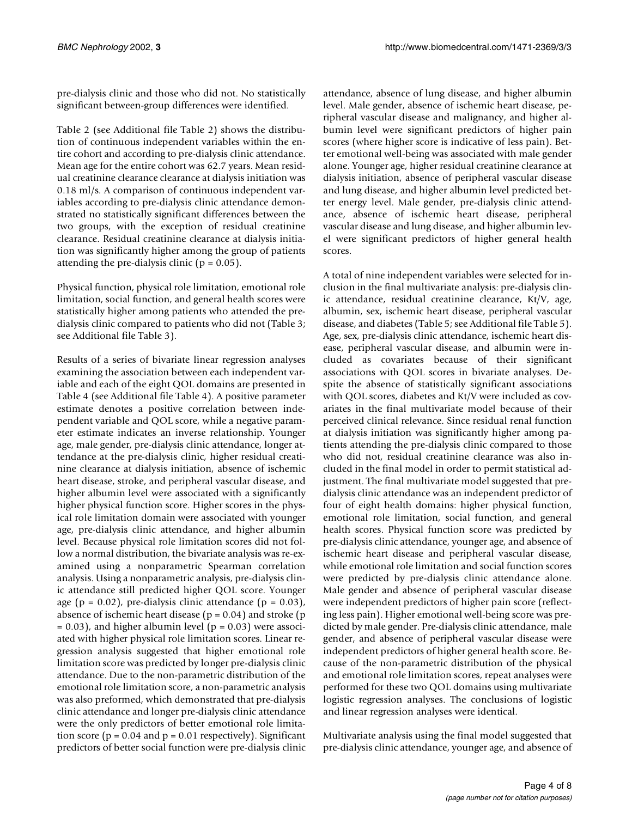pre-dialysis clinic and those who did not. No statistically significant between-group differences were identified.

Table 2 (see Additional file Table 2) shows the distribution of continuous independent variables within the entire cohort and according to pre-dialysis clinic attendance. Mean age for the entire cohort was 62.7 years. Mean residual creatinine clearance clearance at dialysis initiation was 0.18 ml/s. A comparison of continuous independent variables according to pre-dialysis clinic attendance demonstrated no statistically significant differences between the two groups, with the exception of residual creatinine clearance. Residual creatinine clearance at dialysis initiation was significantly higher among the group of patients attending the pre-dialysis clinic ( $p = 0.05$ ).

Physical function, physical role limitation, emotional role limitation, social function, and general health scores were statistically higher among patients who attended the predialysis clinic compared to patients who did not (Table 3; see Additional file Table 3).

Results of a series of bivariate linear regression analyses examining the association between each independent variable and each of the eight QOL domains are presented in Table 4 (see Additional file Table 4). A positive parameter estimate denotes a positive correlation between independent variable and QOL score, while a negative parameter estimate indicates an inverse relationship. Younger age, male gender, pre-dialysis clinic attendance, longer attendance at the pre-dialysis clinic, higher residual creatinine clearance at dialysis initiation, absence of ischemic heart disease, stroke, and peripheral vascular disease, and higher albumin level were associated with a significantly higher physical function score. Higher scores in the physical role limitation domain were associated with younger age, pre-dialysis clinic attendance, and higher albumin level. Because physical role limitation scores did not follow a normal distribution, the bivariate analysis was re-examined using a nonparametric Spearman correlation analysis. Using a nonparametric analysis, pre-dialysis clinic attendance still predicted higher QOL score. Younger age ( $p = 0.02$ ), pre-dialysis clinic attendance ( $p = 0.03$ ), absence of ischemic heart disease ( $p = 0.04$ ) and stroke ( $p = 0.04$ )  $= 0.03$ ), and higher albumin level ( $p = 0.03$ ) were associated with higher physical role limitation scores. Linear regression analysis suggested that higher emotional role limitation score was predicted by longer pre-dialysis clinic attendance. Due to the non-parametric distribution of the emotional role limitation score, a non-parametric analysis was also preformed, which demonstrated that pre-dialysis clinic attendance and longer pre-dialysis clinic attendance were the only predictors of better emotional role limitation score ( $p = 0.04$  and  $p = 0.01$  respectively). Significant predictors of better social function were pre-dialysis clinic

attendance, absence of lung disease, and higher albumin level. Male gender, absence of ischemic heart disease, peripheral vascular disease and malignancy, and higher albumin level were significant predictors of higher pain scores (where higher score is indicative of less pain). Better emotional well-being was associated with male gender alone. Younger age, higher residual creatinine clearance at dialysis initiation, absence of peripheral vascular disease and lung disease, and higher albumin level predicted better energy level. Male gender, pre-dialysis clinic attendance, absence of ischemic heart disease, peripheral vascular disease and lung disease, and higher albumin level were significant predictors of higher general health scores.

A total of nine independent variables were selected for inclusion in the final multivariate analysis: pre-dialysis clinic attendance, residual creatinine clearance, Kt/V, age, albumin, sex, ischemic heart disease, peripheral vascular disease, and diabetes (Table 5; see Additional file Table 5). Age, sex, pre-dialysis clinic attendance, ischemic heart disease, peripheral vascular disease, and albumin were included as covariates because of their significant associations with QOL scores in bivariate analyses. Despite the absence of statistically significant associations with QOL scores, diabetes and Kt/V were included as covariates in the final multivariate model because of their perceived clinical relevance. Since residual renal function at dialysis initiation was significantly higher among patients attending the pre-dialysis clinic compared to those who did not, residual creatinine clearance was also included in the final model in order to permit statistical adjustment. The final multivariate model suggested that predialysis clinic attendance was an independent predictor of four of eight health domains: higher physical function, emotional role limitation, social function, and general health scores. Physical function score was predicted by pre-dialysis clinic attendance, younger age, and absence of ischemic heart disease and peripheral vascular disease, while emotional role limitation and social function scores were predicted by pre-dialysis clinic attendance alone. Male gender and absence of peripheral vascular disease were independent predictors of higher pain score (reflecting less pain). Higher emotional well-being score was predicted by male gender. Pre-dialysis clinic attendance, male gender, and absence of peripheral vascular disease were independent predictors of higher general health score. Because of the non-parametric distribution of the physical and emotional role limitation scores, repeat analyses were performed for these two QOL domains using multivariate logistic regression analyses. The conclusions of logistic and linear regression analyses were identical.

Multivariate analysis using the final model suggested that pre-dialysis clinic attendance, younger age, and absence of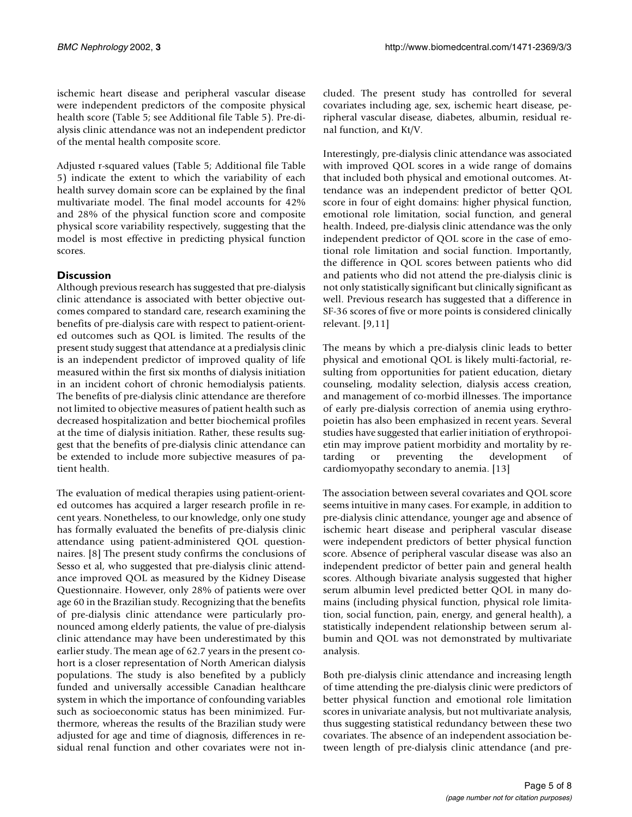ischemic heart disease and peripheral vascular disease were independent predictors of the composite physical health score (Table 5; see Additional file Table 5). Pre-dialysis clinic attendance was not an independent predictor of the mental health composite score.

Adjusted r-squared values (Table 5; Additional file Table 5) indicate the extent to which the variability of each health survey domain score can be explained by the final multivariate model. The final model accounts for 42% and 28% of the physical function score and composite physical score variability respectively, suggesting that the model is most effective in predicting physical function scores.

## **Discussion**

Although previous research has suggested that pre-dialysis clinic attendance is associated with better objective outcomes compared to standard care, research examining the benefits of pre-dialysis care with respect to patient-oriented outcomes such as QOL is limited. The results of the present study suggest that attendance at a predialysis clinic is an independent predictor of improved quality of life measured within the first six months of dialysis initiation in an incident cohort of chronic hemodialysis patients. The benefits of pre-dialysis clinic attendance are therefore not limited to objective measures of patient health such as decreased hospitalization and better biochemical profiles at the time of dialysis initiation. Rather, these results suggest that the benefits of pre-dialysis clinic attendance can be extended to include more subjective measures of patient health.

The evaluation of medical therapies using patient-oriented outcomes has acquired a larger research profile in recent years. Nonetheless, to our knowledge, only one study has formally evaluated the benefits of pre-dialysis clinic attendance using patient-administered QOL questionnaires. [8] The present study confirms the conclusions of Sesso et al, who suggested that pre-dialysis clinic attendance improved QOL as measured by the Kidney Disease Questionnaire. However, only 28% of patients were over age 60 in the Brazilian study. Recognizing that the benefits of pre-dialysis clinic attendance were particularly pronounced among elderly patients, the value of pre-dialysis clinic attendance may have been underestimated by this earlier study. The mean age of 62.7 years in the present cohort is a closer representation of North American dialysis populations. The study is also benefited by a publicly funded and universally accessible Canadian healthcare system in which the importance of confounding variables such as socioeconomic status has been minimized. Furthermore, whereas the results of the Brazilian study were adjusted for age and time of diagnosis, differences in residual renal function and other covariates were not included. The present study has controlled for several covariates including age, sex, ischemic heart disease, peripheral vascular disease, diabetes, albumin, residual renal function, and Kt/V.

Interestingly, pre-dialysis clinic attendance was associated with improved QOL scores in a wide range of domains that included both physical and emotional outcomes. Attendance was an independent predictor of better QOL score in four of eight domains: higher physical function, emotional role limitation, social function, and general health. Indeed, pre-dialysis clinic attendance was the only independent predictor of QOL score in the case of emotional role limitation and social function. Importantly, the difference in QOL scores between patients who did and patients who did not attend the pre-dialysis clinic is not only statistically significant but clinically significant as well. Previous research has suggested that a difference in SF-36 scores of five or more points is considered clinically relevant. [9,11]

The means by which a pre-dialysis clinic leads to better physical and emotional QOL is likely multi-factorial, resulting from opportunities for patient education, dietary counseling, modality selection, dialysis access creation, and management of co-morbid illnesses. The importance of early pre-dialysis correction of anemia using erythropoietin has also been emphasized in recent years. Several studies have suggested that earlier initiation of erythropoietin may improve patient morbidity and mortality by retarding or preventing the development of cardiomyopathy secondary to anemia. [13]

The association between several covariates and QOL score seems intuitive in many cases. For example, in addition to pre-dialysis clinic attendance, younger age and absence of ischemic heart disease and peripheral vascular disease were independent predictors of better physical function score. Absence of peripheral vascular disease was also an independent predictor of better pain and general health scores. Although bivariate analysis suggested that higher serum albumin level predicted better QOL in many domains (including physical function, physical role limitation, social function, pain, energy, and general health), a statistically independent relationship between serum albumin and QOL was not demonstrated by multivariate analysis.

Both pre-dialysis clinic attendance and increasing length of time attending the pre-dialysis clinic were predictors of better physical function and emotional role limitation scores in univariate analysis, but not multivariate analysis, thus suggesting statistical redundancy between these two covariates. The absence of an independent association between length of pre-dialysis clinic attendance (and pre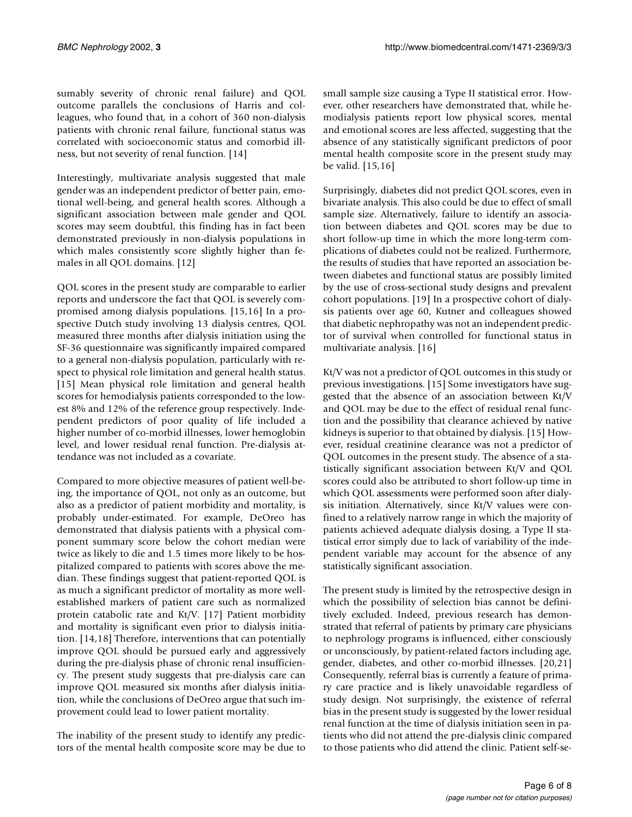sumably severity of chronic renal failure) and QOL outcome parallels the conclusions of Harris and colleagues, who found that, in a cohort of 360 non-dialysis patients with chronic renal failure, functional status was correlated with socioeconomic status and comorbid illness, but not severity of renal function. [14]

Interestingly, multivariate analysis suggested that male gender was an independent predictor of better pain, emotional well-being, and general health scores. Although a significant association between male gender and QOL scores may seem doubtful, this finding has in fact been demonstrated previously in non-dialysis populations in which males consistently score slightly higher than females in all QOL domains. [12]

QOL scores in the present study are comparable to earlier reports and underscore the fact that QOL is severely compromised among dialysis populations. [15,16] In a prospective Dutch study involving 13 dialysis centres, QOL measured three months after dialysis initiation using the SF-36 questionnaire was significantly impaired compared to a general non-dialysis population, particularly with respect to physical role limitation and general health status. [15] Mean physical role limitation and general health scores for hemodialysis patients corresponded to the lowest 8% and 12% of the reference group respectively. Independent predictors of poor quality of life included a higher number of co-morbid illnesses, lower hemoglobin level, and lower residual renal function. Pre-dialysis attendance was not included as a covariate.

Compared to more objective measures of patient well-being, the importance of QOL, not only as an outcome, but also as a predictor of patient morbidity and mortality, is probably under-estimated. For example, DeOreo has demonstrated that dialysis patients with a physical component summary score below the cohort median were twice as likely to die and 1.5 times more likely to be hospitalized compared to patients with scores above the median. These findings suggest that patient-reported QOL is as much a significant predictor of mortality as more wellestablished markers of patient care such as normalized protein catabolic rate and Kt/V. [17] Patient morbidity and mortality is significant even prior to dialysis initiation. [14,18] Therefore, interventions that can potentially improve QOL should be pursued early and aggressively during the pre-dialysis phase of chronic renal insufficiency. The present study suggests that pre-dialysis care can improve QOL measured six months after dialysis initiation, while the conclusions of DeOreo argue that such improvement could lead to lower patient mortality.

The inability of the present study to identify any predictors of the mental health composite score may be due to small sample size causing a Type II statistical error. However, other researchers have demonstrated that, while hemodialysis patients report low physical scores, mental and emotional scores are less affected, suggesting that the absence of any statistically significant predictors of poor mental health composite score in the present study may be valid. [15,16]

Surprisingly, diabetes did not predict QOL scores, even in bivariate analysis. This also could be due to effect of small sample size. Alternatively, failure to identify an association between diabetes and QOL scores may be due to short follow-up time in which the more long-term complications of diabetes could not be realized. Furthermore, the results of studies that have reported an association between diabetes and functional status are possibly limited by the use of cross-sectional study designs and prevalent cohort populations. [19] In a prospective cohort of dialysis patients over age 60, Kutner and colleagues showed that diabetic nephropathy was not an independent predictor of survival when controlled for functional status in multivariate analysis. [16]

Kt/V was not a predictor of QOL outcomes in this study or previous investigations. [15] Some investigators have suggested that the absence of an association between Kt/V and QOL may be due to the effect of residual renal function and the possibility that clearance achieved by native kidneys is superior to that obtained by dialysis. [15] However, residual creatinine clearance was not a predictor of QOL outcomes in the present study. The absence of a statistically significant association between Kt/V and QOL scores could also be attributed to short follow-up time in which QOL assessments were performed soon after dialysis initiation. Alternatively, since Kt/V values were confined to a relatively narrow range in which the majority of patients achieved adequate dialysis dosing, a Type II statistical error simply due to lack of variability of the independent variable may account for the absence of any statistically significant association.

The present study is limited by the retrospective design in which the possibility of selection bias cannot be definitively excluded. Indeed, previous research has demonstrated that referral of patients by primary care physicians to nephrology programs is influenced, either consciously or unconsciously, by patient-related factors including age, gender, diabetes, and other co-morbid illnesses. [20,21] Consequently, referral bias is currently a feature of primary care practice and is likely unavoidable regardless of study design. Not surprisingly, the existence of referral bias in the present study is suggested by the lower residual renal function at the time of dialysis initiation seen in patients who did not attend the pre-dialysis clinic compared to those patients who did attend the clinic. Patient self-se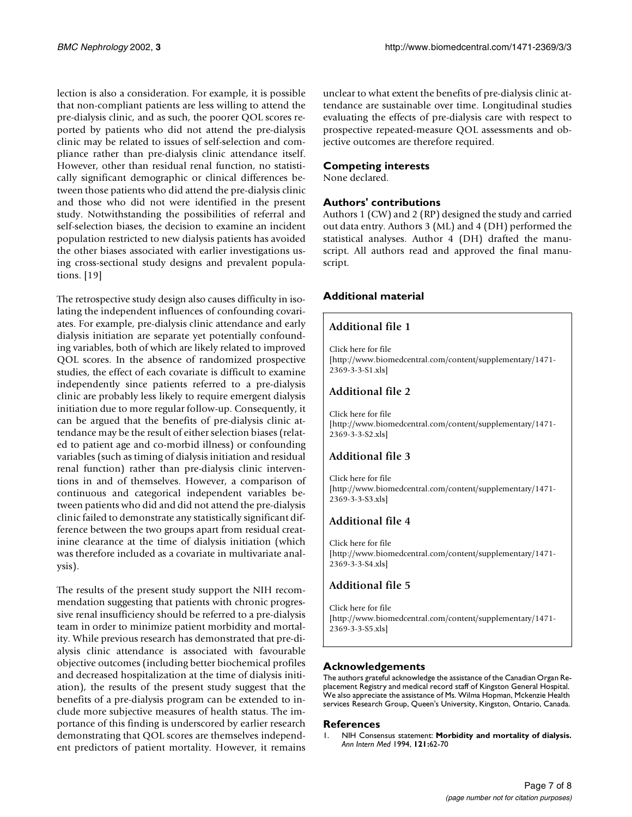lection is also a consideration. For example, it is possible that non-compliant patients are less willing to attend the pre-dialysis clinic, and as such, the poorer QOL scores reported by patients who did not attend the pre-dialysis clinic may be related to issues of self-selection and compliance rather than pre-dialysis clinic attendance itself. However, other than residual renal function, no statistically significant demographic or clinical differences between those patients who did attend the pre-dialysis clinic and those who did not were identified in the present study. Notwithstanding the possibilities of referral and self-selection biases, the decision to examine an incident population restricted to new dialysis patients has avoided the other biases associated with earlier investigations using cross-sectional study designs and prevalent populations. [19]

The retrospective study design also causes difficulty in isolating the independent influences of confounding covariates. For example, pre-dialysis clinic attendance and early dialysis initiation are separate yet potentially confounding variables, both of which are likely related to improved QOL scores. In the absence of randomized prospective studies, the effect of each covariate is difficult to examine independently since patients referred to a pre-dialysis clinic are probably less likely to require emergent dialysis initiation due to more regular follow-up. Consequently, it can be argued that the benefits of pre-dialysis clinic attendance may be the result of either selection biases (related to patient age and co-morbid illness) or confounding variables (such as timing of dialysis initiation and residual renal function) rather than pre-dialysis clinic interventions in and of themselves. However, a comparison of continuous and categorical independent variables between patients who did and did not attend the pre-dialysis clinic failed to demonstrate any statistically significant difference between the two groups apart from residual creatinine clearance at the time of dialysis initiation (which was therefore included as a covariate in multivariate analysis).

The results of the present study support the NIH recommendation suggesting that patients with chronic progressive renal insufficiency should be referred to a pre-dialysis team in order to minimize patient morbidity and mortality. While previous research has demonstrated that pre-dialysis clinic attendance is associated with favourable objective outcomes (including better biochemical profiles and decreased hospitalization at the time of dialysis initiation), the results of the present study suggest that the benefits of a pre-dialysis program can be extended to include more subjective measures of health status. The importance of this finding is underscored by earlier research demonstrating that QOL scores are themselves independent predictors of patient mortality. However, it remains unclear to what extent the benefits of pre-dialysis clinic attendance are sustainable over time. Longitudinal studies evaluating the effects of pre-dialysis care with respect to prospective repeated-measure QOL assessments and objective outcomes are therefore required.

#### **Competing interests**

None declared.

#### **Authors' contributions**

Authors 1 (CW) and 2 (RP) designed the study and carried out data entry. Authors 3 (ML) and 4 (DH) performed the statistical analyses. Author 4 (DH) drafted the manuscript. All authors read and approved the final manuscript.

## **Additional material**

# **Additional file 1**

[Click here for file](http://www.biomedcentral.com/content/supplementary/1471-2369-3-3-S1.xls) [\[http://www.biomedcentral.com/content/supplementary/1471-](http://www.biomedcentral.com/content/supplementary/1471-2369-3-3-S1.xls) 2369-3-3-S1.xls]

## **Additional file 2**

[Click here for file](http://www.biomedcentral.com/content/supplementary/1471-2369-3-3-S2.xls) [\[http://www.biomedcentral.com/content/supplementary/1471-](http://www.biomedcentral.com/content/supplementary/1471-2369-3-3-S2.xls) 2369-3-3-S2.xls]

## **Additional file 3**

[Click here for file](http://www.biomedcentral.com/content/supplementary/1471-2369-3-3-S3.xls) [\[http://www.biomedcentral.com/content/supplementary/1471-](http://www.biomedcentral.com/content/supplementary/1471-2369-3-3-S3.xls) 2369-3-3-S3.xls]

# **Additional file 4**

[Click here for file](http://www.biomedcentral.com/content/supplementary/1471-2369-3-3-S4.xls) [\[http://www.biomedcentral.com/content/supplementary/1471-](http://www.biomedcentral.com/content/supplementary/1471-2369-3-3-S4.xls) 2369-3-3-S4.xls]

# **Additional file 5**

[Click here for file](http://www.biomedcentral.com/content/supplementary/1471-2369-3-3-S5.xls) [\[http://www.biomedcentral.com/content/supplementary/1471-](http://www.biomedcentral.com/content/supplementary/1471-2369-3-3-S5.xls) 2369-3-3-S5.xls]

#### **Acknowledgements**

The authors grateful acknowledge the assistance of the Canadian Organ Replacement Registry and medical record staff of Kingston General Hospital. We also appreciate the assistance of Ms. Wilma Hopman, Mckenzie Health services Research Group, Queen's University, Kingston, Ontario, Canada.

#### **References**

1. [NIH Consensus statement:](http://www.ncbi.nlm.nih.gov/entrez/query.fcgi?cmd=Retrieve&db=PubMed&dopt=Abstract&list_uids=8198352) **Morbidity and mortality of dialysis.** *Ann Intern Med* 1994, **121:**62-70